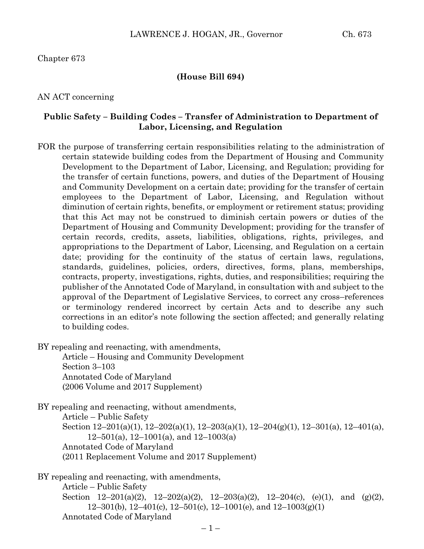Chapter 673

#### **(House Bill 694)**

AN ACT concerning

### **Public Safety – Building Codes – Transfer of Administration to Department of Labor, Licensing, and Regulation**

FOR the purpose of transferring certain responsibilities relating to the administration of certain statewide building codes from the Department of Housing and Community Development to the Department of Labor, Licensing, and Regulation; providing for the transfer of certain functions, powers, and duties of the Department of Housing and Community Development on a certain date; providing for the transfer of certain employees to the Department of Labor, Licensing, and Regulation without diminution of certain rights, benefits, or employment or retirement status; providing that this Act may not be construed to diminish certain powers or duties of the Department of Housing and Community Development; providing for the transfer of certain records, credits, assets, liabilities, obligations, rights, privileges, and appropriations to the Department of Labor, Licensing, and Regulation on a certain date; providing for the continuity of the status of certain laws, regulations, standards, guidelines, policies, orders, directives, forms, plans, memberships, contracts, property, investigations, rights, duties, and responsibilities; requiring the publisher of the Annotated Code of Maryland, in consultation with and subject to the approval of the Department of Legislative Services, to correct any cross–references or terminology rendered incorrect by certain Acts and to describe any such corrections in an editor's note following the section affected; and generally relating to building codes.

BY repealing and reenacting, with amendments,

Article – Housing and Community Development Section 3–103 Annotated Code of Maryland (2006 Volume and 2017 Supplement)

BY repealing and reenacting, without amendments, Article – Public Safety Section 12–201(a)(1), 12–202(a)(1), 12–203(a)(1), 12–204(g)(1), 12–301(a), 12–401(a),  $12-501(a)$ ,  $12-1001(a)$ , and  $12-1003(a)$ Annotated Code of Maryland (2011 Replacement Volume and 2017 Supplement)

BY repealing and reenacting, with amendments, Article – Public Safety Section 12–201(a)(2), 12–202(a)(2), 12–203(a)(2), 12–204(c), (e)(1), and (g)(2), 12–301(b), 12–401(c), 12–501(c), 12–1001(e), and  $12-1003(g)(1)$ Annotated Code of Maryland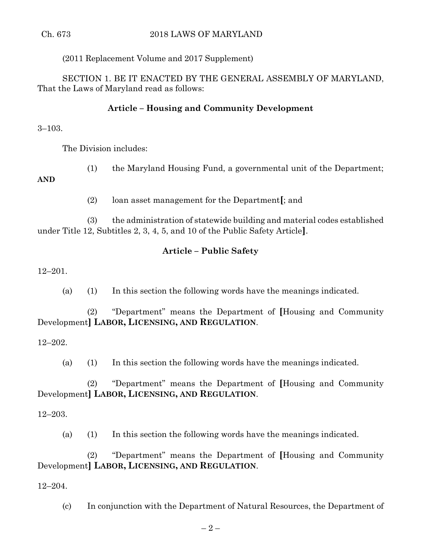(2011 Replacement Volume and 2017 Supplement)

SECTION 1. BE IT ENACTED BY THE GENERAL ASSEMBLY OF MARYLAND, That the Laws of Maryland read as follows:

# **Article – Housing and Community Development**

3–103.

The Division includes:

(1) the Maryland Housing Fund, a governmental unit of the Department;

**AND**

(2) loan asset management for the Department**[**; and

(3) the administration of statewide building and material codes established under Title 12, Subtitles 2, 3, 4, 5, and 10 of the Public Safety Article**]**.

## **Article – Public Safety**

12–201.

(a) (1) In this section the following words have the meanings indicated.

(2) "Department" means the Department of **[**Housing and Community Development**] LABOR, LICENSING, AND REGULATION**.

12–202.

(a) (1) In this section the following words have the meanings indicated.

(2) "Department" means the Department of **[**Housing and Community Development**] LABOR, LICENSING, AND REGULATION**.

12–203.

(a) (1) In this section the following words have the meanings indicated.

(2) "Department" means the Department of **[**Housing and Community Development**] LABOR, LICENSING, AND REGULATION**.

12–204.

(c) In conjunction with the Department of Natural Resources, the Department of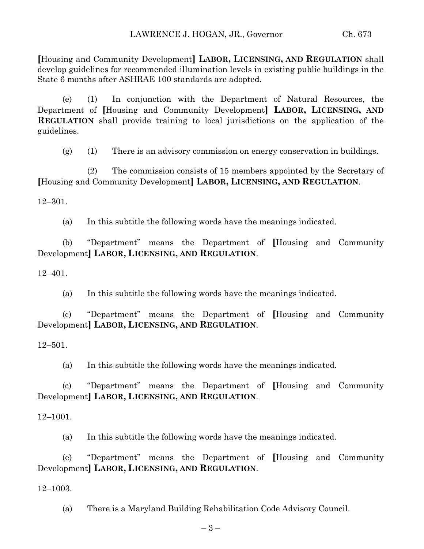**[**Housing and Community Development**] LABOR, LICENSING, AND REGULATION** shall develop guidelines for recommended illumination levels in existing public buildings in the State 6 months after ASHRAE 100 standards are adopted.

(e) (1) In conjunction with the Department of Natural Resources, the Department of **[**Housing and Community Development**] LABOR, LICENSING, AND REGULATION** shall provide training to local jurisdictions on the application of the guidelines.

 $(g)$  (1) There is an advisory commission on energy conservation in buildings.

(2) The commission consists of 15 members appointed by the Secretary of **[**Housing and Community Development**] LABOR, LICENSING, AND REGULATION**.

12–301.

(a) In this subtitle the following words have the meanings indicated.

(b) "Department" means the Department of **[**Housing and Community Development**] LABOR, LICENSING, AND REGULATION**.

12–401.

(a) In this subtitle the following words have the meanings indicated.

(c) "Department" means the Department of **[**Housing and Community Development**] LABOR, LICENSING, AND REGULATION**.

12–501.

(a) In this subtitle the following words have the meanings indicated.

(c) "Department" means the Department of **[**Housing and Community Development**] LABOR, LICENSING, AND REGULATION**.

### 12–1001.

(a) In this subtitle the following words have the meanings indicated.

(e) "Department" means the Department of **[**Housing and Community Development**] LABOR, LICENSING, AND REGULATION**.

12–1003.

(a) There is a Maryland Building Rehabilitation Code Advisory Council.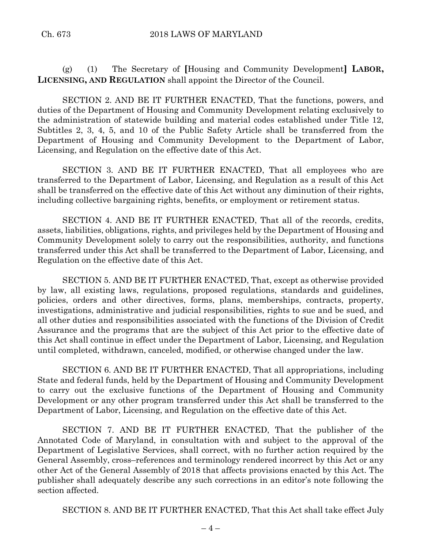(g) (1) The Secretary of **[**Housing and Community Development**] LABOR, LICENSING, AND REGULATION** shall appoint the Director of the Council.

SECTION 2. AND BE IT FURTHER ENACTED, That the functions, powers, and duties of the Department of Housing and Community Development relating exclusively to the administration of statewide building and material codes established under Title 12, Subtitles 2, 3, 4, 5, and 10 of the Public Safety Article shall be transferred from the Department of Housing and Community Development to the Department of Labor, Licensing, and Regulation on the effective date of this Act.

SECTION 3. AND BE IT FURTHER ENACTED, That all employees who are transferred to the Department of Labor, Licensing, and Regulation as a result of this Act shall be transferred on the effective date of this Act without any diminution of their rights, including collective bargaining rights, benefits, or employment or retirement status.

SECTION 4. AND BE IT FURTHER ENACTED, That all of the records, credits, assets, liabilities, obligations, rights, and privileges held by the Department of Housing and Community Development solely to carry out the responsibilities, authority, and functions transferred under this Act shall be transferred to the Department of Labor, Licensing, and Regulation on the effective date of this Act.

SECTION 5. AND BE IT FURTHER ENACTED, That, except as otherwise provided by law, all existing laws, regulations, proposed regulations, standards and guidelines, policies, orders and other directives, forms, plans, memberships, contracts, property, investigations, administrative and judicial responsibilities, rights to sue and be sued, and all other duties and responsibilities associated with the functions of the Division of Credit Assurance and the programs that are the subject of this Act prior to the effective date of this Act shall continue in effect under the Department of Labor, Licensing, and Regulation until completed, withdrawn, canceled, modified, or otherwise changed under the law.

SECTION 6. AND BE IT FURTHER ENACTED, That all appropriations, including State and federal funds, held by the Department of Housing and Community Development to carry out the exclusive functions of the Department of Housing and Community Development or any other program transferred under this Act shall be transferred to the Department of Labor, Licensing, and Regulation on the effective date of this Act.

SECTION 7. AND BE IT FURTHER ENACTED, That the publisher of the Annotated Code of Maryland, in consultation with and subject to the approval of the Department of Legislative Services, shall correct, with no further action required by the General Assembly, cross–references and terminology rendered incorrect by this Act or any other Act of the General Assembly of 2018 that affects provisions enacted by this Act. The publisher shall adequately describe any such corrections in an editor's note following the section affected.

SECTION 8. AND BE IT FURTHER ENACTED, That this Act shall take effect July